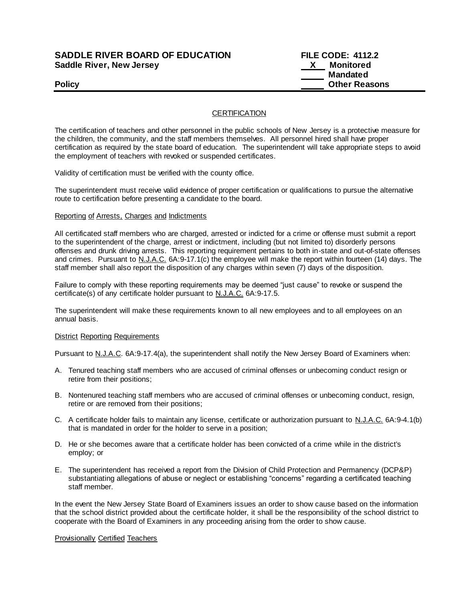# **SADDLE RIVER BOARD OF EDUCATION FILE CODE: 4112.2 Saddle River, New Jersey X Monitored**

 **Mandated Policy Policy Policy Other Reasons** 

## **CERTIFICATION**

The certification of teachers and other personnel in the public schools of New Jersey is a protective measure for the children, the community, and the staff members themselves. All personnel hired shall have proper certification as required by the state board of education. The superintendent will take appropriate steps to avoid the employment of teachers with revoked or suspended certificates.

Validity of certification must be verified with the county office.

The superintendent must receive valid evidence of proper certification or qualifications to pursue the alternative route to certification before presenting a candidate to the board.

#### Reporting of Arrests, Charges and Indictments

All certificated staff members who are charged, arrested or indicted for a crime or offense must submit a report to the superintendent of the charge, arrest or indictment, including (but not limited to) disorderly persons offenses and drunk driving arrests. This reporting requirement pertains to both in-state and out-of-state offenses and crimes. Pursuant to N.J.A.C. 6A:9-17.1(c) the employee will make the report within fourteen (14) days. The staff member shall also report the disposition of any charges within seven (7) days of the disposition.

Failure to comply with these reporting requirements may be deemed "just cause" to revoke or suspend the certificate(s) of any certificate holder pursuant to N.J.A.C. 6A:9-17.5.

The superintendent will make these requirements known to all new employees and to all employees on an annual basis.

#### **District Reporting Requirements**

Pursuant to N.J.A.C. 6A:9-17.4(a), the superintendent shall notify the New Jersey Board of Examiners when:

- A. Tenured teaching staff members who are accused of criminal offenses or unbecoming conduct resign or retire from their positions;
- B. Nontenured teaching staff members who are accused of criminal offenses or unbecoming conduct, resign, retire or are removed from their positions;
- C. A certificate holder fails to maintain any license, certificate or authorization pursuant to N.J.A.C. 6A:9-4.1(b) that is mandated in order for the holder to serve in a position;
- D. He or she becomes aware that a certificate holder has been convicted of a crime while in the district's employ; or
- E. The superintendent has received a report from the Division of Child Protection and Permanency (DCP&P) substantiating allegations of abuse or neglect or establishing "concerns" regarding a certificated teaching staff member.

In the event the New Jersey State Board of Examiners issues an order to show cause based on the information that the school district provided about the certificate holder, it shall be the responsibility of the school district to cooperate with the Board of Examiners in any proceeding arising from the order to show cause.

#### Provisionally Certified Teachers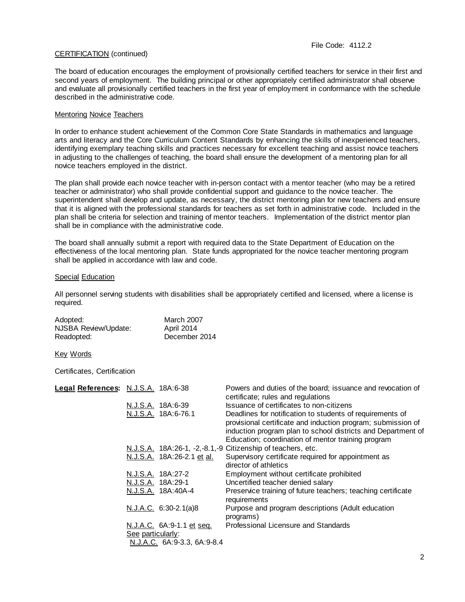## CERTIFICATION (continued)

The board of education encourages the employment of provisionally certified teachers for service in their first and second years of employment. The building principal or other appropriately certified administrator shall observe and evaluate all provisionally certified teachers in the first year of employment in conformance with the schedule described in the administrative code.

## Mentoring Novice Teachers

In order to enhance student achievement of the Common Core State Standards in mathematics and language arts and literacy and the Core Curriculum Content Standards by enhancing the skills of inexperienced teachers, identifying exemplary teaching skills and practices necessary for excellent teaching and assist novice teachers in adjusting to the challenges of teaching, the board shall ensure the development of a mentoring plan for all novice teachers employed in the district.

The plan shall provide each novice teacher with in-person contact with a mentor teacher (who may be a retired teacher or administrator) who shall provide confidential support and guidance to the novice teacher. The superintendent shall develop and update, as necessary, the district mentoring plan for new teachers and ensure that it is aligned with the professional standards for teachers as set forth in administrative code. Included in the plan shall be criteria for selection and training of mentor teachers. Implementation of the district mentor plan shall be in compliance with the administrative code.

The board shall annually submit a report with required data to the State Department of Education on the effectiveness of the local mentoring plan. State funds appropriated for the novice teacher mentoring program shall be applied in accordance with law and code.

#### Special Education

All personnel serving students with disabilities shall be appropriately certified and licensed, where a license is required.

| Adopted:             | <b>March 2007</b> |
|----------------------|-------------------|
| NJSBA Review/Update: | April 2014        |
| Readopted:           | December 2014     |

Key Words

Certificates, Certification

| Legal References: N.J.S.A. 18A:6-38 |                   |                             | Powers and duties of the board; issuance and revocation of                                                                                                                                |
|-------------------------------------|-------------------|-----------------------------|-------------------------------------------------------------------------------------------------------------------------------------------------------------------------------------------|
|                                     |                   |                             | certificate; rules and regulations                                                                                                                                                        |
|                                     |                   | N.J.S.A. 18A:6-39           | Issuance of certificates to non-citizens                                                                                                                                                  |
|                                     |                   | N.J.S.A. 18A:6-76.1         | Deadlines for notification to students of requirements of<br>provisional certificate and induction program; submission of<br>induction program plan to school districts and Department of |
|                                     |                   |                             | Education; coordination of mentor training program                                                                                                                                        |
|                                     |                   |                             | N.J.S.A. 18A:26-1, -2, -8.1, -9 Citizenship of teachers, etc.                                                                                                                             |
|                                     |                   | N.J.S.A. 18A:26-2.1 et al.  | Supervisory certificate required for appointment as<br>director of athletics                                                                                                              |
|                                     |                   | N.J.S.A. 18A:27-2           | Employment without certificate prohibited                                                                                                                                                 |
|                                     |                   | N.J.S.A. 18A:29-1           | Uncertified teacher denied salary                                                                                                                                                         |
|                                     |                   | N.J.S.A. 18A:40A-4          | Preservice training of future teachers; teaching certificate<br>requirements                                                                                                              |
|                                     |                   | $N.J.A.C. 6:30-2.1(a)8$     | Purpose and program descriptions (Adult education<br>programs)                                                                                                                            |
|                                     | See particularly: | N.J.A.C. 6A:9-1.1 et seq.   | Professional Licensure and Standards                                                                                                                                                      |
|                                     |                   | N.J.A.C. 6A:9-3.3, 6A:9-8.4 |                                                                                                                                                                                           |
|                                     |                   |                             |                                                                                                                                                                                           |